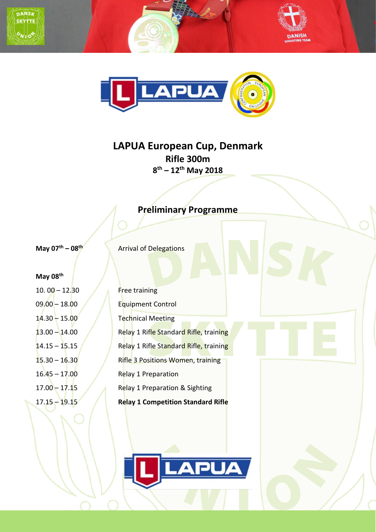





# **LAPUA European Cup, Denmark Rifle 300m 8th – 12th May 2018**

# **Preliminary Programme**

**May 07<sup>th</sup> – 08<sup>th</sup>** Arrival of Delegations

#### **May 08th**

10. 00 – 12.30 Free training

09.00 – 18.00 **Equipment Control** 14.30 – 15.00 Technical Meeting 13.00 – 14.00 Relay 1 Rifle Standard Rifle, training  $14.15 - 15.15$  Relay 1 Rifle Standard Rifle, training 15.30 – 16.30 Rifle 3 Positions Women, training 16.45 – 17.00 Relay 1 Preparation 17.00 – 17.15 Relay 1 Preparation & Sighting 17.15 – 19.15 **Relay 1 Competition Standard Rifle**

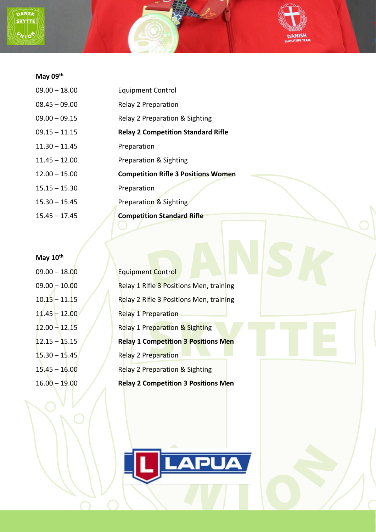



| $09.00 - 18.00$ | <b>Equipment Control</b>                   |
|-----------------|--------------------------------------------|
| $08.45 - 09.00$ | Relay 2 Preparation                        |
| $09.00 - 09.15$ | Relay 2 Preparation & Sighting             |
| $09.15 - 11.15$ | <b>Relay 2 Competition Standard Rifle</b>  |
| $11.30 - 11.45$ | Preparation                                |
| $11.45 - 12.00$ | Preparation & Sighting                     |
| $12.00 - 15.00$ | <b>Competition Rifle 3 Positions Women</b> |
| $15.15 - 15.30$ | Preparation                                |
| $15.30 - 15.45$ | Preparation & Sighting                     |
| $15.45 - 17.45$ | <b>Competition Standard Rifle</b>          |
|                 |                                            |

**DANISH** 

# **May 10th**

| $09.00 - 18.00$                   | <b>Equipment Control</b>                   |
|-----------------------------------|--------------------------------------------|
| $09.00 - 10.00$                   | Relay 1 Rifle 3 Positions Men, training    |
| 10.15 – 11. <b>1</b> 5            | Relay 2 Rifle 3 Positions Men, training    |
| 11.45 <del>-</del> 12. <b>0</b> 0 | <b>Relay 1 Preparation</b>                 |
| $12.00 - 12.15$                   | Relay 1 Preparation & Sighting             |
| $12.15 - 15.15$                   | <b>Relay 1 Competition 3 Positions Men</b> |
| $15.30 - 15.45$                   | Relay 2 Preparation                        |
| 15.45 - 16.00                     | Relay 2 Preparation & Sighting             |
| $16.00 - 19.00$                   | <b>Relay 2 Competition 3 Positions Men</b> |
|                                   |                                            |

<u>APUA</u>